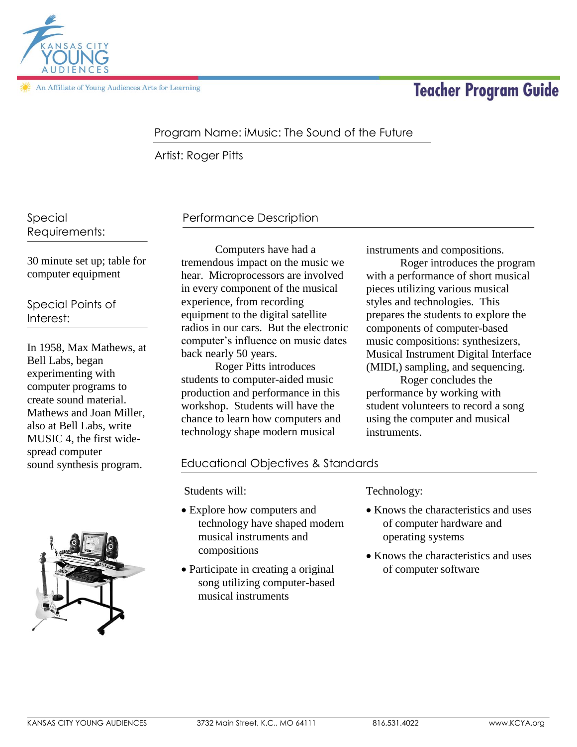

An Affiliate of Young Audiences Arts for Learning

# **Teacher Program Guide**

## Program Name: iMusic: The Sound of the Future

Artist: Roger Pitts

Special Requirements:

30 minute set up; table for computer equipment

Special Points of Interest:

In 1958, Max Mathews, at Bell Labs, began experimenting with computer programs to create sound material. Mathews and Joan Miller, also at Bell Labs, write MUSIC 4, the first widespread computer sound synthesis program.



## Performance Description

Computers have had a tremendous impact on the music we hear. Microprocessors are involved in every component of the musical experience, from recording equipment to the digital satellite radios in our cars. But the electronic computer's influence on music dates back nearly 50 years.

Roger Pitts introduces students to computer-aided music production and performance in this workshop. Students will have the chance to learn how computers and technology shape modern musical

instruments and compositions.

Roger introduces the program with a performance of short musical pieces utilizing various musical styles and technologies. This prepares the students to explore the components of computer-based music compositions: synthesizers, Musical Instrument Digital Interface (MIDI,) sampling, and sequencing.

Roger concludes the performance by working with student volunteers to record a song using the computer and musical instruments.

## Educational Objectives & Standards

Students will:

- Explore how computers and technology have shaped modern musical instruments and compositions
- Participate in creating a original song utilizing computer-based musical instruments

#### Technology:

- Knows the characteristics and uses of computer hardware and operating systems
- Knows the characteristics and uses of computer software